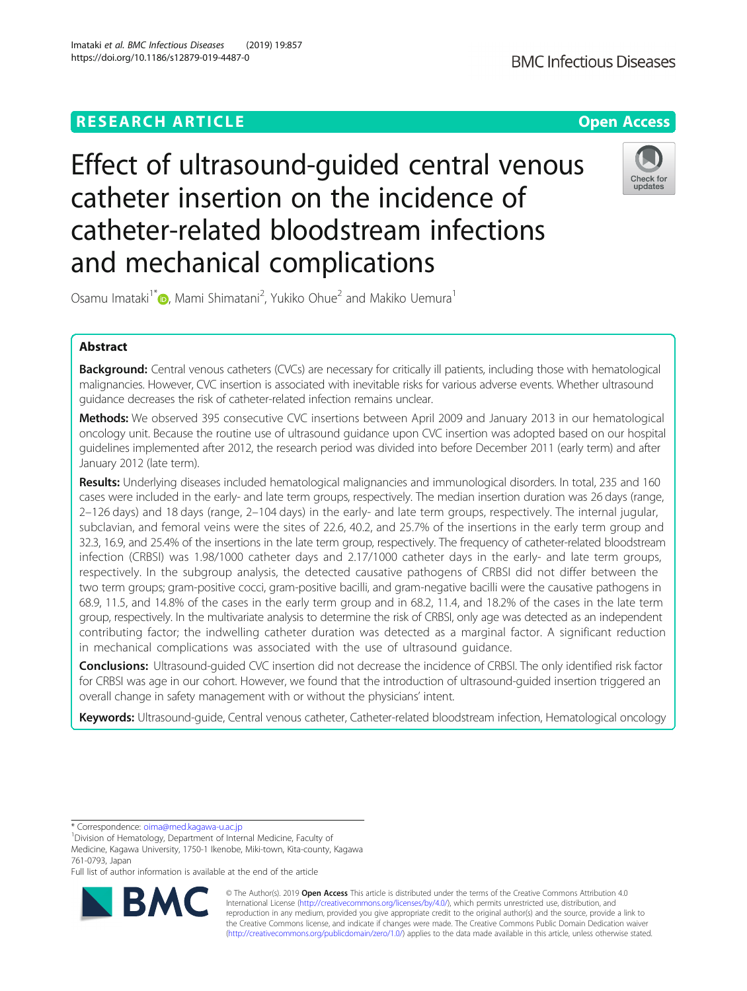# Effect of ultrasound-guided central venous catheter insertion on the incidence of catheter-related bloodstream infections and mechanical complications



Osamu Imataki<sup>1\*</sup> (**)**[,](http://orcid.org/0000-0001-5332-1316) Mami Shimatani<sup>2</sup>, Yukiko Ohue<sup>2</sup> and Makiko Uemura<sup>1</sup>

# Abstract

Background: Central venous catheters (CVCs) are necessary for critically ill patients, including those with hematological malignancies. However, CVC insertion is associated with inevitable risks for various adverse events. Whether ultrasound guidance decreases the risk of catheter-related infection remains unclear.

Methods: We observed 395 consecutive CVC insertions between April 2009 and January 2013 in our hematological oncology unit. Because the routine use of ultrasound guidance upon CVC insertion was adopted based on our hospital guidelines implemented after 2012, the research period was divided into before December 2011 (early term) and after January 2012 (late term).

Results: Underlying diseases included hematological malignancies and immunological disorders. In total, 235 and 160 cases were included in the early- and late term groups, respectively. The median insertion duration was 26 days (range, 2–126 days) and 18 days (range, 2–104 days) in the early- and late term groups, respectively. The internal jugular, subclavian, and femoral veins were the sites of 22.6, 40.2, and 25.7% of the insertions in the early term group and 32.3, 16.9, and 25.4% of the insertions in the late term group, respectively. The frequency of catheter-related bloodstream infection (CRBSI) was 1.98/1000 catheter days and 2.17/1000 catheter days in the early- and late term groups, respectively. In the subgroup analysis, the detected causative pathogens of CRBSI did not differ between the two term groups; gram-positive cocci, gram-positive bacilli, and gram-negative bacilli were the causative pathogens in 68.9, 11.5, and 14.8% of the cases in the early term group and in 68.2, 11.4, and 18.2% of the cases in the late term group, respectively. In the multivariate analysis to determine the risk of CRBSI, only age was detected as an independent contributing factor; the indwelling catheter duration was detected as a marginal factor. A significant reduction in mechanical complications was associated with the use of ultrasound guidance.

**Conclusions:** Ultrasound-quided CVC insertion did not decrease the incidence of CRBSI. The only identified risk factor for CRBSI was age in our cohort. However, we found that the introduction of ultrasound-guided insertion triggered an overall change in safety management with or without the physicians' intent.

Keywords: Ultrasound-quide, Central venous catheter, Catheter-related bloodstream infection, Hematological oncology

\* Correspondence: [oima@med.kagawa-u.ac.jp](mailto:oima@med.kagawa-u.ac.jp) <sup>1</sup>

<sup>1</sup> Division of Hematology, Department of Internal Medicine, Faculty of

Medicine, Kagawa University, 1750-1 Ikenobe, Miki-town, Kita-county, Kagawa 761-0793, Japan

Full list of author information is available at the end of the article



© The Author(s). 2019 Open Access This article is distributed under the terms of the Creative Commons Attribution 4.0 International License [\(http://creativecommons.org/licenses/by/4.0/](http://creativecommons.org/licenses/by/4.0/)), which permits unrestricted use, distribution, and reproduction in any medium, provided you give appropriate credit to the original author(s) and the source, provide a link to the Creative Commons license, and indicate if changes were made. The Creative Commons Public Domain Dedication waiver [\(http://creativecommons.org/publicdomain/zero/1.0/](http://creativecommons.org/publicdomain/zero/1.0/)) applies to the data made available in this article, unless otherwise stated.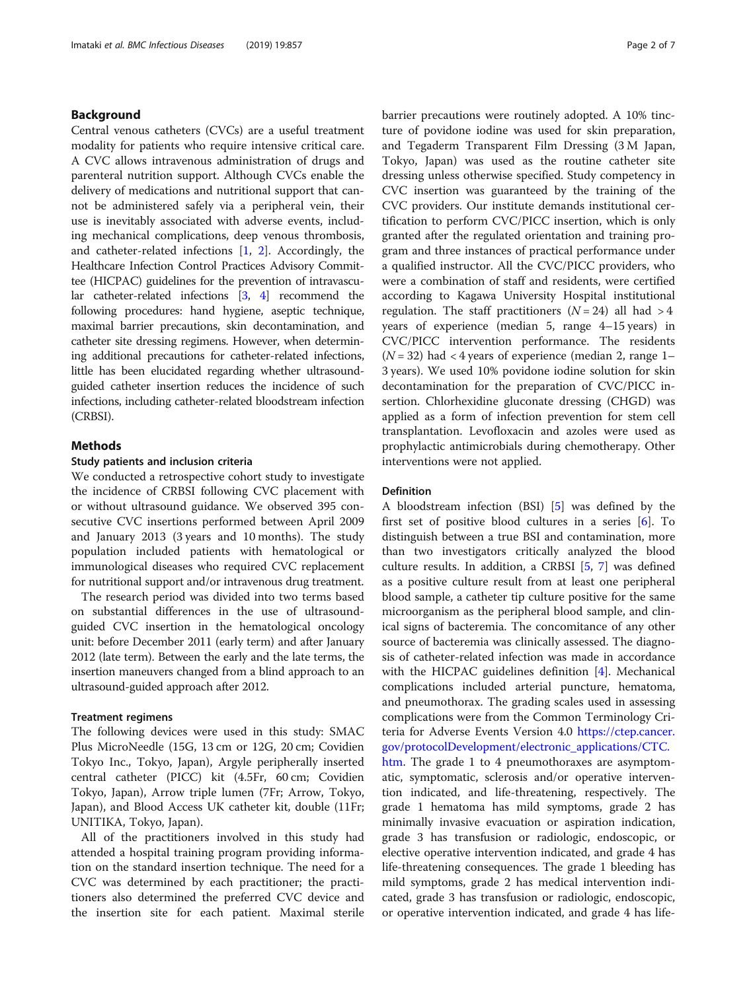# Background

Central venous catheters (CVCs) are a useful treatment modality for patients who require intensive critical care. A CVC allows intravenous administration of drugs and parenteral nutrition support. Although CVCs enable the delivery of medications and nutritional support that cannot be administered safely via a peripheral vein, their use is inevitably associated with adverse events, including mechanical complications, deep venous thrombosis, and catheter-related infections [[1,](#page-6-0) [2\]](#page-6-0). Accordingly, the Healthcare Infection Control Practices Advisory Committee (HICPAC) guidelines for the prevention of intravascular catheter-related infections [\[3,](#page-6-0) [4](#page-6-0)] recommend the following procedures: hand hygiene, aseptic technique, maximal barrier precautions, skin decontamination, and catheter site dressing regimens. However, when determining additional precautions for catheter-related infections, little has been elucidated regarding whether ultrasoundguided catheter insertion reduces the incidence of such infections, including catheter-related bloodstream infection (CRBSI).

# Methods

## Study patients and inclusion criteria

We conducted a retrospective cohort study to investigate the incidence of CRBSI following CVC placement with or without ultrasound guidance. We observed 395 consecutive CVC insertions performed between April 2009 and January 2013 (3 years and 10 months). The study population included patients with hematological or immunological diseases who required CVC replacement for nutritional support and/or intravenous drug treatment.

The research period was divided into two terms based on substantial differences in the use of ultrasoundguided CVC insertion in the hematological oncology unit: before December 2011 (early term) and after January 2012 (late term). Between the early and the late terms, the insertion maneuvers changed from a blind approach to an ultrasound-guided approach after 2012.

#### Treatment regimens

The following devices were used in this study: SMAC Plus MicroNeedle (15G, 13 cm or 12G, 20 cm; Covidien Tokyo Inc., Tokyo, Japan), Argyle peripherally inserted central catheter (PICC) kit (4.5Fr, 60 cm; Covidien Tokyo, Japan), Arrow triple lumen (7Fr; Arrow, Tokyo, Japan), and Blood Access UK catheter kit, double (11Fr; UNITIKA, Tokyo, Japan).

All of the practitioners involved in this study had attended a hospital training program providing information on the standard insertion technique. The need for a CVC was determined by each practitioner; the practitioners also determined the preferred CVC device and the insertion site for each patient. Maximal sterile barrier precautions were routinely adopted. A 10% tincture of povidone iodine was used for skin preparation, and Tegaderm Transparent Film Dressing (3 M Japan, Tokyo, Japan) was used as the routine catheter site dressing unless otherwise specified. Study competency in CVC insertion was guaranteed by the training of the CVC providers. Our institute demands institutional certification to perform CVC/PICC insertion, which is only granted after the regulated orientation and training program and three instances of practical performance under a qualified instructor. All the CVC/PICC providers, who were a combination of staff and residents, were certified according to Kagawa University Hospital institutional regulation. The staff practitioners  $(N = 24)$  all had > 4 years of experience (median 5, range 4–15 years) in CVC/PICC intervention performance. The residents  $(N = 32)$  had < 4 years of experience (median 2, range 1– 3 years). We used 10% povidone iodine solution for skin decontamination for the preparation of CVC/PICC insertion. Chlorhexidine gluconate dressing (CHGD) was applied as a form of infection prevention for stem cell transplantation. Levofloxacin and azoles were used as prophylactic antimicrobials during chemotherapy. Other interventions were not applied.

#### Definition

A bloodstream infection (BSI) [\[5](#page-6-0)] was defined by the first set of positive blood cultures in a series [[6](#page-6-0)]. To distinguish between a true BSI and contamination, more than two investigators critically analyzed the blood culture results. In addition, a CRBSI [[5,](#page-6-0) [7](#page-6-0)] was defined as a positive culture result from at least one peripheral blood sample, a catheter tip culture positive for the same microorganism as the peripheral blood sample, and clinical signs of bacteremia. The concomitance of any other source of bacteremia was clinically assessed. The diagnosis of catheter-related infection was made in accordance with the HICPAC guidelines definition [\[4](#page-6-0)]. Mechanical complications included arterial puncture, hematoma, and pneumothorax. The grading scales used in assessing complications were from the Common Terminology Criteria for Adverse Events Version 4.0 [https://ctep.cancer.](https://ctep.cancer.gov/protocolDevelopment/electronic_applications/CTC.htm) [gov/protocolDevelopment/electronic\\_applications/CTC.](https://ctep.cancer.gov/protocolDevelopment/electronic_applications/CTC.htm) [htm](https://ctep.cancer.gov/protocolDevelopment/electronic_applications/CTC.htm). The grade 1 to 4 pneumothoraxes are asymptom-

atic, symptomatic, sclerosis and/or operative intervention indicated, and life-threatening, respectively. The grade 1 hematoma has mild symptoms, grade 2 has minimally invasive evacuation or aspiration indication, grade 3 has transfusion or radiologic, endoscopic, or elective operative intervention indicated, and grade 4 has life-threatening consequences. The grade 1 bleeding has mild symptoms, grade 2 has medical intervention indicated, grade 3 has transfusion or radiologic, endoscopic, or operative intervention indicated, and grade 4 has life-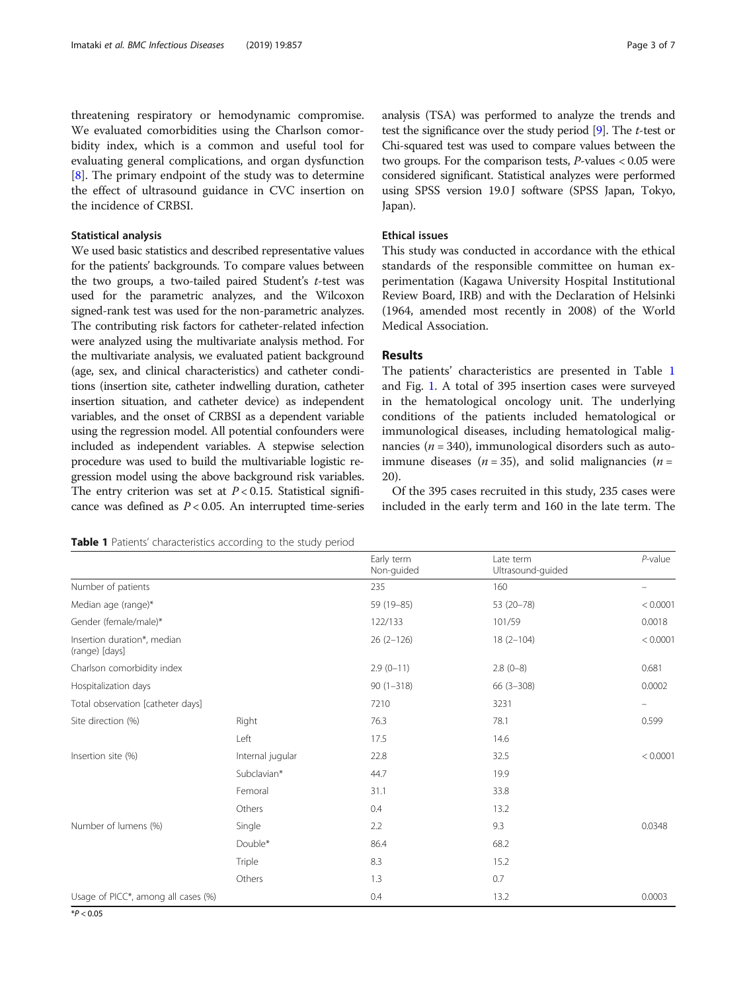<span id="page-2-0"></span>threatening respiratory or hemodynamic compromise. We evaluated comorbidities using the Charlson comorbidity index, which is a common and useful tool for evaluating general complications, and organ dysfunction [[8\]](#page-6-0). The primary endpoint of the study was to determine the effect of ultrasound guidance in CVC insertion on the incidence of CRBSI.

## Statistical analysis

We used basic statistics and described representative values for the patients' backgrounds. To compare values between the two groups, a two-tailed paired Student's  $t$ -test was used for the parametric analyzes, and the Wilcoxon signed-rank test was used for the non-parametric analyzes. The contributing risk factors for catheter-related infection were analyzed using the multivariate analysis method. For the multivariate analysis, we evaluated patient background (age, sex, and clinical characteristics) and catheter conditions (insertion site, catheter indwelling duration, catheter insertion situation, and catheter device) as independent variables, and the onset of CRBSI as a dependent variable using the regression model. All potential confounders were included as independent variables. A stepwise selection procedure was used to build the multivariable logistic regression model using the above background risk variables. The entry criterion was set at  $P < 0.15$ . Statistical significance was defined as  $P < 0.05$ . An interrupted time-series analysis (TSA) was performed to analyze the trends and test the significance over the study period  $[9]$  $[9]$ . The *t*-test or Chi-squared test was used to compare values between the two groups. For the comparison tests, P-values < 0.05 were considered significant. Statistical analyzes were performed using SPSS version 19.0 J software (SPSS Japan, Tokyo, Japan).

# Ethical issues

This study was conducted in accordance with the ethical standards of the responsible committee on human experimentation (Kagawa University Hospital Institutional Review Board, IRB) and with the Declaration of Helsinki (1964, amended most recently in 2008) of the World Medical Association.

# Results

The patients' characteristics are presented in Table 1 and Fig. [1.](#page-3-0) A total of 395 insertion cases were surveyed in the hematological oncology unit. The underlying conditions of the patients included hematological or immunological diseases, including hematological malignancies ( $n = 340$ ), immunological disorders such as autoimmune diseases ( $n = 35$ ), and solid malignancies ( $n =$ 20).

Of the 395 cases recruited in this study, 235 cases were included in the early term and 160 in the late term. The

Table 1 Patients' characteristics according to the study period

|                                               |                  | Early term<br>Non-guided | Late term<br>Ultrasound-guided | $P$ -value               |
|-----------------------------------------------|------------------|--------------------------|--------------------------------|--------------------------|
| Number of patients                            |                  | 235                      | 160                            |                          |
| Median age (range)*                           |                  | 59 (19 - 85)             | 53 (20-78)                     | < 0.0001                 |
| Gender (female/male)*                         |                  | 122/133                  | 101/59                         | 0.0018                   |
| Insertion duration*, median<br>(range) [days] |                  | $26(2-126)$              | $18(2-104)$                    | < 0.0001                 |
| Charlson comorbidity index                    |                  | $2.9(0-11)$              | $2.8(0-8)$                     | 0.681                    |
| Hospitalization days                          |                  | $90(1-318)$              | $66(3-308)$                    | 0.0002                   |
| Total observation [catheter days]             |                  | 7210                     | 3231                           | $\overline{\phantom{m}}$ |
| Site direction (%)                            | Right            | 76.3                     | 78.1                           | 0.599                    |
|                                               | Left             | 17.5                     | 14.6                           |                          |
| Insertion site (%)                            | Internal jugular | 22.8                     | 32.5                           | < 0.0001                 |
|                                               | Subclavian*      | 44.7                     | 19.9                           |                          |
|                                               | Femoral          | 31.1                     | 33.8                           |                          |
|                                               | Others           | 0.4                      | 13.2                           |                          |
| Number of lumens (%)                          | Single           | 2.2                      | 9.3                            | 0.0348                   |
|                                               | Double*          | 86.4                     | 68.2                           |                          |
|                                               | Triple           | 8.3                      | 15.2                           |                          |
|                                               | Others           | 1.3                      | 0.7                            |                          |
| Usage of PICC*, among all cases (%)           |                  | 0.4                      | 13.2                           | 0.0003                   |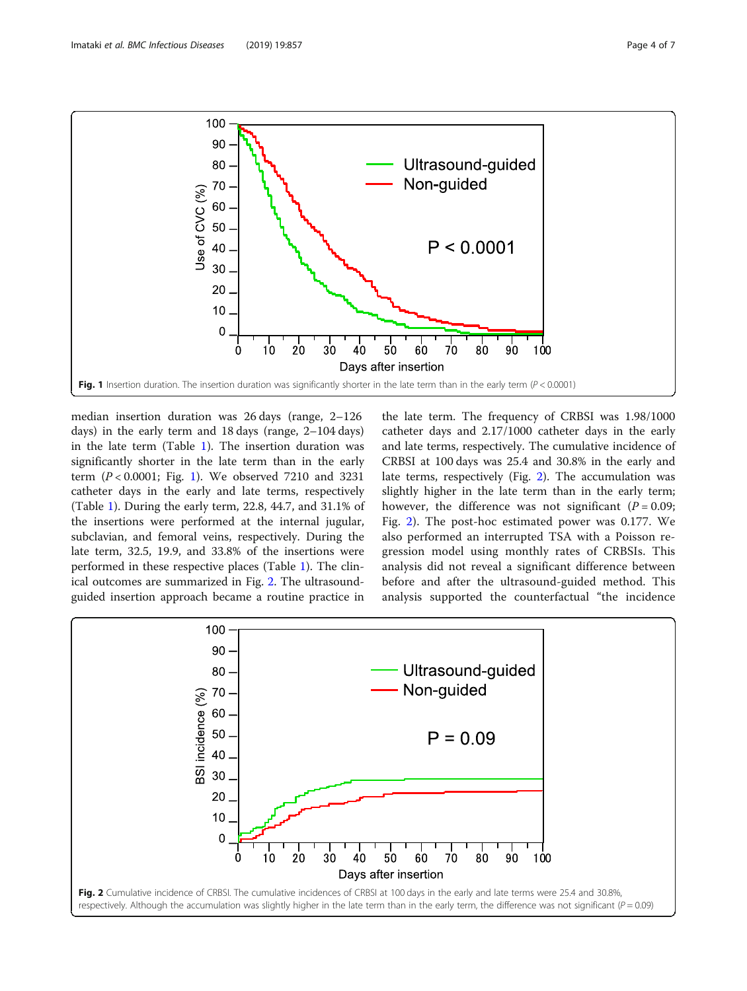<span id="page-3-0"></span>

median insertion duration was 26 days (range, 2–126 days) in the early term and 18 days (range, 2–104 days) in the late term (Table [1](#page-2-0)). The insertion duration was significantly shorter in the late term than in the early term  $(P < 0.0001$ ; Fig. 1). We observed 7210 and 3231 catheter days in the early and late terms, respectively (Table [1\)](#page-2-0). During the early term, 22.8, 44.7, and 31.1% of the insertions were performed at the internal jugular, subclavian, and femoral veins, respectively. During the late term, 32.5, 19.9, and 33.8% of the insertions were performed in these respective places (Table [1](#page-2-0)). The clinical outcomes are summarized in Fig. 2. The ultrasoundguided insertion approach became a routine practice in

the late term. The frequency of CRBSI was 1.98/1000 catheter days and 2.17/1000 catheter days in the early and late terms, respectively. The cumulative incidence of CRBSI at 100 days was 25.4 and 30.8% in the early and late terms, respectively (Fig. 2). The accumulation was slightly higher in the late term than in the early term; however, the difference was not significant  $(P = 0.09)$ ; Fig. 2). The post-hoc estimated power was 0.177. We also performed an interrupted TSA with a Poisson regression model using monthly rates of CRBSIs. This analysis did not reveal a significant difference between before and after the ultrasound-guided method. This analysis supported the counterfactual "the incidence

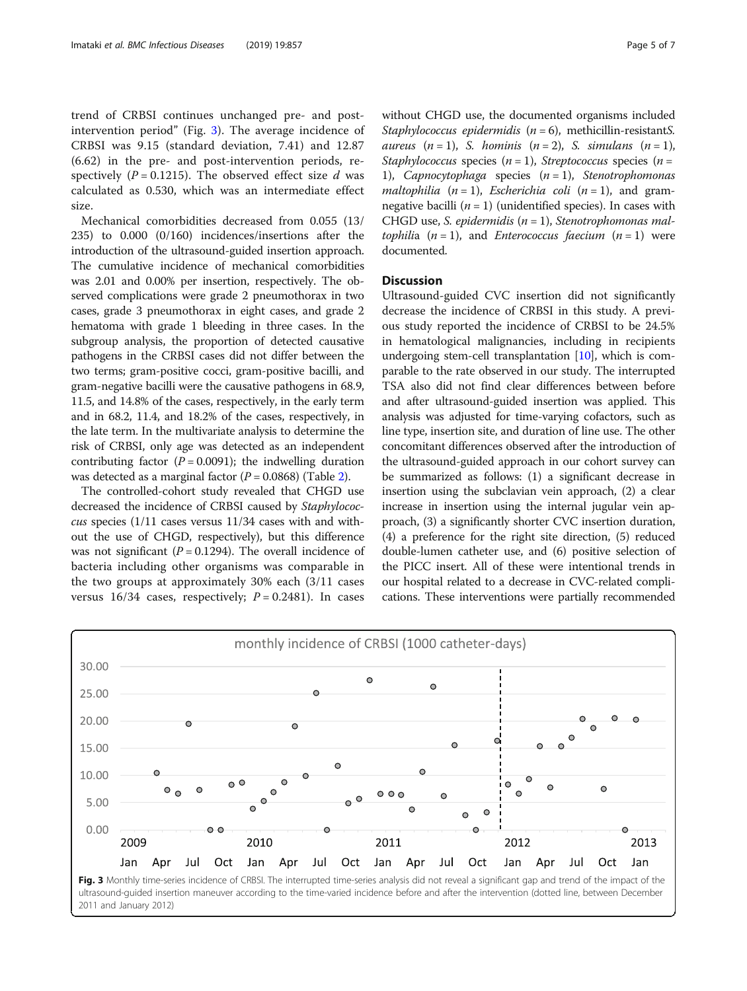trend of CRBSI continues unchanged pre- and postintervention period" (Fig. 3). The average incidence of CRBSI was 9.15 (standard deviation, 7.41) and 12.87 (6.62) in the pre- and post-intervention periods, respectively ( $P = 0.1215$ ). The observed effect size d was calculated as 0.530, which was an intermediate effect size.

Mechanical comorbidities decreased from 0.055 (13/ 235) to 0.000 (0/160) incidences/insertions after the introduction of the ultrasound-guided insertion approach. The cumulative incidence of mechanical comorbidities was 2.01 and 0.00% per insertion, respectively. The observed complications were grade 2 pneumothorax in two cases, grade 3 pneumothorax in eight cases, and grade 2 hematoma with grade 1 bleeding in three cases. In the subgroup analysis, the proportion of detected causative pathogens in the CRBSI cases did not differ between the two terms; gram-positive cocci, gram-positive bacilli, and gram-negative bacilli were the causative pathogens in 68.9, 11.5, and 14.8% of the cases, respectively, in the early term and in 68.2, 11.4, and 18.2% of the cases, respectively, in the late term. In the multivariate analysis to determine the risk of CRBSI, only age was detected as an independent contributing factor ( $P = 0.0091$ ); the indwelling duration was detected as a marginal factor  $(P = 0.0868)$  (Table [2\)](#page-5-0).

The controlled-cohort study revealed that CHGD use decreased the incidence of CRBSI caused by Staphylococcus species (1/11 cases versus 11/34 cases with and without the use of CHGD, respectively), but this difference was not significant ( $P = 0.1294$ ). The overall incidence of bacteria including other organisms was comparable in the two groups at approximately 30% each (3/11 cases versus  $16/34$  cases, respectively;  $P = 0.2481$ ). In cases without CHGD use, the documented organisms included Staphylococcus epidermidis  $(n = 6)$ , methicillin-resistantS. aureus  $(n = 1)$ , S. hominis  $(n = 2)$ , S. simulans  $(n = 1)$ , Staphylococcus species  $(n = 1)$ , Streptococcus species  $(n = 1)$ 1), Capnocytophaga species  $(n = 1)$ , Stenotrophomonas maltophilia  $(n = 1)$ , Escherichia coli  $(n = 1)$ , and gramnegative bacilli  $(n = 1)$  (unidentified species). In cases with CHGD use, S. epidermidis  $(n = 1)$ , Stenotrophomonas maltophilia  $(n = 1)$ , and *Enterococcus faecium*  $(n = 1)$  were documented.

# **Discussion**

Ultrasound-guided CVC insertion did not significantly decrease the incidence of CRBSI in this study. A previous study reported the incidence of CRBSI to be 24.5% in hematological malignancies, including in recipients undergoing stem-cell transplantation  $[10]$  $[10]$ , which is comparable to the rate observed in our study. The interrupted TSA also did not find clear differences between before and after ultrasound-guided insertion was applied. This analysis was adjusted for time-varying cofactors, such as line type, insertion site, and duration of line use. The other concomitant differences observed after the introduction of the ultrasound-guided approach in our cohort survey can be summarized as follows: (1) a significant decrease in insertion using the subclavian vein approach, (2) a clear increase in insertion using the internal jugular vein approach, (3) a significantly shorter CVC insertion duration, (4) a preference for the right site direction, (5) reduced double-lumen catheter use, and (6) positive selection of the PICC insert. All of these were intentional trends in our hospital related to a decrease in CVC-related complications. These interventions were partially recommended



2011 and January 2012)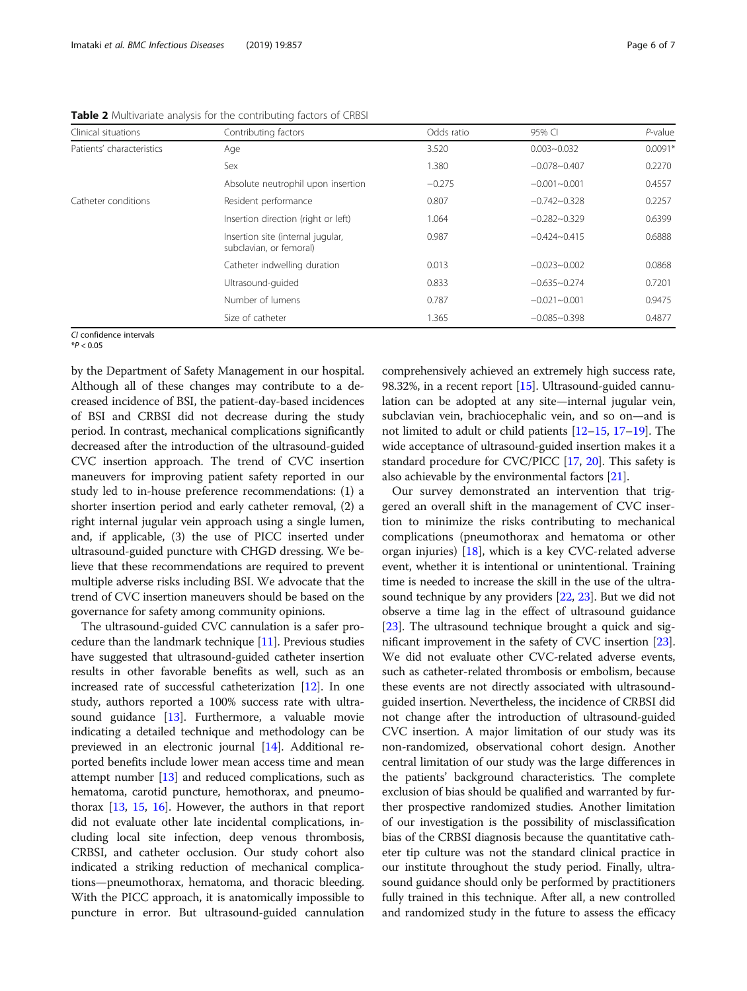| Clinical situations       | Contributing factors                                         | Odds ratio | 95% CI           | $P$ -value |
|---------------------------|--------------------------------------------------------------|------------|------------------|------------|
| Patients' characteristics | Age                                                          | 3.520      | $0.003 - 0.032$  | $0.0091*$  |
|                           | Sex                                                          | 1.380      | $-0.078 - 0.407$ | 0.2270     |
|                           | Absolute neutrophil upon insertion                           | $-0.275$   | $-0.001 - 0.001$ | 0.4557     |
| Catheter conditions       | Resident performance                                         | 0.807      | $-0.742 - 0.328$ | 0.2257     |
|                           | Insertion direction (right or left)                          | 1.064      | $-0.282 - 0.329$ | 0.6399     |
|                           | Insertion site (internal jugular,<br>subclavian, or femoral) | 0.987      | $-0.424 - 0.415$ | 0.6888     |
|                           | Catheter indwelling duration                                 | 0.013      | $-0.023 - 0.002$ | 0.0868     |
|                           | Ultrasound-quided                                            | 0.833      | $-0.635 - 0.274$ | 0.7201     |
|                           | Number of lumens                                             | 0.787      | $-0.021 - 0.001$ | 0.9475     |
|                           | Size of catheter                                             | 1.365      | $-0.085 - 0.398$ | 0.4877     |

<span id="page-5-0"></span>Table 2 Multivariate analysis for the contributing factors of CRBSI

CI confidence intervals  $*P < 0.05$ 

by the Department of Safety Management in our hospital. Although all of these changes may contribute to a decreased incidence of BSI, the patient-day-based incidences of BSI and CRBSI did not decrease during the study period. In contrast, mechanical complications significantly decreased after the introduction of the ultrasound-guided CVC insertion approach. The trend of CVC insertion maneuvers for improving patient safety reported in our study led to in-house preference recommendations: (1) a shorter insertion period and early catheter removal, (2) a right internal jugular vein approach using a single lumen, and, if applicable, (3) the use of PICC inserted under ultrasound-guided puncture with CHGD dressing. We believe that these recommendations are required to prevent multiple adverse risks including BSI. We advocate that the trend of CVC insertion maneuvers should be based on the governance for safety among community opinions.

The ultrasound-guided CVC cannulation is a safer procedure than the landmark technique [\[11](#page-6-0)]. Previous studies have suggested that ultrasound-guided catheter insertion results in other favorable benefits as well, such as an increased rate of successful catheterization [\[12\]](#page-6-0). In one study, authors reported a 100% success rate with ultrasound guidance [[13](#page-6-0)]. Furthermore, a valuable movie indicating a detailed technique and methodology can be previewed in an electronic journal [\[14](#page-6-0)]. Additional reported benefits include lower mean access time and mean attempt number [\[13](#page-6-0)] and reduced complications, such as hematoma, carotid puncture, hemothorax, and pneumothorax [[13,](#page-6-0) [15](#page-6-0), [16](#page-6-0)]. However, the authors in that report did not evaluate other late incidental complications, including local site infection, deep venous thrombosis, CRBSI, and catheter occlusion. Our study cohort also indicated a striking reduction of mechanical complications—pneumothorax, hematoma, and thoracic bleeding. With the PICC approach, it is anatomically impossible to puncture in error. But ultrasound-guided cannulation

comprehensively achieved an extremely high success rate, 98.32%, in a recent report [[15](#page-6-0)]. Ultrasound-guided cannulation can be adopted at any site—internal jugular vein, subclavian vein, brachiocephalic vein, and so on—and is not limited to adult or child patients [[12](#page-6-0)–[15,](#page-6-0) [17](#page-6-0)–[19](#page-6-0)]. The wide acceptance of ultrasound-guided insertion makes it a standard procedure for CVC/PICC [\[17](#page-6-0), [20](#page-6-0)]. This safety is also achievable by the environmental factors [\[21\]](#page-6-0).

Our survey demonstrated an intervention that triggered an overall shift in the management of CVC insertion to minimize the risks contributing to mechanical complications (pneumothorax and hematoma or other organ injuries) [[18](#page-6-0)], which is a key CVC-related adverse event, whether it is intentional or unintentional. Training time is needed to increase the skill in the use of the ultrasound technique by any providers [\[22](#page-6-0), [23\]](#page-6-0). But we did not observe a time lag in the effect of ultrasound guidance [[23](#page-6-0)]. The ultrasound technique brought a quick and significant improvement in the safety of CVC insertion [[23](#page-6-0)]. We did not evaluate other CVC-related adverse events, such as catheter-related thrombosis or embolism, because these events are not directly associated with ultrasoundguided insertion. Nevertheless, the incidence of CRBSI did not change after the introduction of ultrasound-guided CVC insertion. A major limitation of our study was its non-randomized, observational cohort design. Another central limitation of our study was the large differences in the patients' background characteristics. The complete exclusion of bias should be qualified and warranted by further prospective randomized studies. Another limitation of our investigation is the possibility of misclassification bias of the CRBSI diagnosis because the quantitative catheter tip culture was not the standard clinical practice in our institute throughout the study period. Finally, ultrasound guidance should only be performed by practitioners fully trained in this technique. After all, a new controlled and randomized study in the future to assess the efficacy